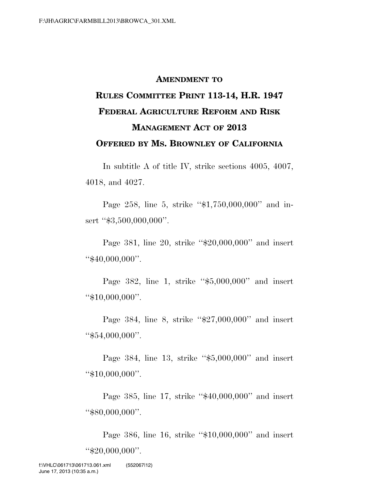# **AMENDMENT TO RULES COMMITTEE PRINT 113-14, H.R. 1947 FEDERAL AGRICULTURE REFORM AND RISK MANAGEMENT ACT OF 2013 OFFERED BY MS. BROWNLEY OF CALIFORNIA**

In subtitle A of title IV, strike sections 4005, 4007, 4018, and 4027.

Page 258, line 5, strike "\$1,750,000,000" and insert "\$3,500,000,000".

Page 381, line 20, strike "\$20,000,000" and insert ''\$40,000,000''.

Page 382, line 1, strike ''\$5,000,000'' and insert ''\$10,000,000''.

Page 384, line 8, strike "\$27,000,000" and insert ''\$54,000,000''.

Page 384, line 13, strike "\$5,000,000" and insert ''\$10,000,000''.

Page 385, line 17, strike "\$40,000,000" and insert ''\$80,000,000''.

Page 386, line 16, strike ''\$10,000,000'' and insert ''\$20,000,000''.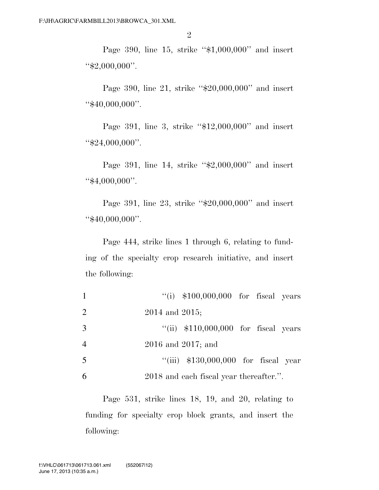Page 390, line 15, strike "\$1,000,000" and insert "\$2,000,000".

Page 390, line 21, strike "\$20,000,000" and insert ''\$40,000,000''.

Page 391, line 3, strike "\$12,000,000" and insert ''\$24,000,000''.

Page 391, line 14, strike "\$2,000,000" and insert ''\$4,000,000''.

Page 391, line 23, strike "\$20,000,000" and insert ''\$40,000,000''.

Page 444, strike lines 1 through 6, relating to funding of the specialty crop research initiative, and insert the following:

| $\mathbf{1}$ | $\degree$ (i) \$100,000,000 for fiscal years |
|--------------|----------------------------------------------|
| 2            | 2014 and 2015;                               |
| 3            | "(ii) $$110,000,000$ for fiscal years        |
| 4            | $2016$ and $2017$ ; and                      |
| 5            | "(iii) $$130,000,000$ for fiscal year        |
| 6            | 2018 and each fiscal year thereafter.".      |

Page 531, strike lines 18, 19, and 20, relating to funding for specialty crop block grants, and insert the following: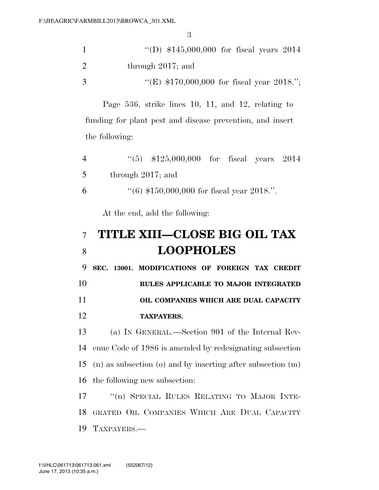|               | "(D) $$145,000,000$ for fiscal years 2014   |
|---------------|---------------------------------------------|
| $\mathcal{D}$ | through $2017$ ; and                        |
| -3            | "(E) $$170,000,000$ for fiscal year 2018."; |

Page 536, strike lines 10, 11, and 12, relating to funding for plant pest and disease prevention, and insert the following:

| 4 | $(5)$ \$125,000,000 for fiscal years 2014             |
|---|-------------------------------------------------------|
| 5 | through $2017$ ; and                                  |
| 6 | $\cdot\cdot(6)$ \$150,000,000 for fiscal year 2018.". |

At the end, add the following:

# **TITLE XIII—CLOSE BIG OIL TAX LOOPHOLES**

 **SEC. 13001. MODIFICATIONS OF FOREIGN TAX CREDIT RULES APPLICABLE TO MAJOR INTEGRATED** 

### **OIL COMPANIES WHICH ARE DUAL CAPACITY TAXPAYERS.**

 (a) IN GENERAL.—Section 901 of the Internal Rev- enue Code of 1986 is amended by redesignating subsection (n) as subsection (o) and by inserting after subsection (m) the following new subsection:

17 <sup>"</sup>(n) SPECIAL RULES RELATING TO MAJOR INTE-18 GRATED OIL COMPANIES WHICH ARE DUAL CAPACITY TAXPAYERS.—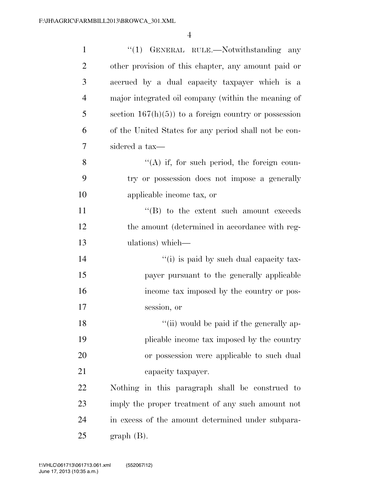| $\mathbf{1}$   | "(1) GENERAL RULE.—Notwithstanding any                 |
|----------------|--------------------------------------------------------|
| $\overline{2}$ | other provision of this chapter, any amount paid or    |
| 3              | accrued by a dual capacity taxpayer which is a         |
| $\overline{4}$ | major integrated oil company (within the meaning of    |
| 5              | section $167(h)(5)$ to a foreign country or possession |
| 6              | of the United States for any period shall not be con-  |
| 7              | sidered a tax-                                         |
| 8              | $\lq\lq$ if, for such period, the foreign coun-        |
| 9              | try or possession does not impose a generally          |
| 10             | applicable income tax, or                              |
| 11             | $\lq\lq$ to the extent such amount exceeds             |
| 12             | the amount (determined in accordance with reg-         |
| 13             | ulations) which—                                       |
| 14             | "(i) is paid by such dual capacity tax-                |
| 15             | payer pursuant to the generally applicable             |
| 16             | income tax imposed by the country or pos-              |
| 17             | session, or                                            |
| 18             | "(ii) would be paid if the generally ap-               |
| 19             | plicable income tax imposed by the country             |
| 20             | or possession were applicable to such dual             |
| 21             | capacity taxpayer.                                     |
| 22             | Nothing in this paragraph shall be construed to        |
| 23             | imply the proper treatment of any such amount not      |
| 24             | in excess of the amount determined under subpara-      |
| 25             | $graph(B)$ .                                           |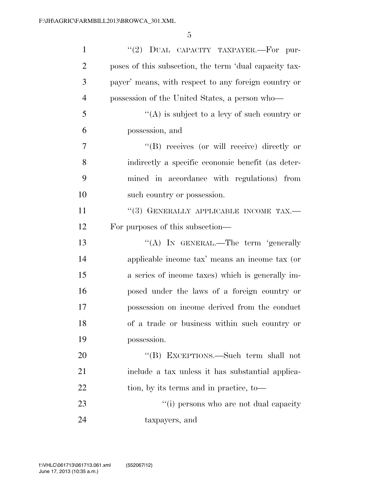| $\mathbf{1}$   | "(2) DUAL CAPACITY TAXPAYER.—For pur-                  |
|----------------|--------------------------------------------------------|
| $\overline{2}$ | poses of this subsection, the term 'dual capacity tax- |
| 3              | payer' means, with respect to any foreign country or   |
| $\overline{4}$ | possession of the United States, a person who—         |
| 5              | "(A) is subject to a levy of such country or           |
| 6              | possession, and                                        |
| $\tau$         | $\lq\lq (B)$ receives (or will receive) directly or    |
| 8              | indirectly a specific economic benefit (as deter-      |
| 9              | mined in accordance with regulations) from             |
| 10             | such country or possession.                            |
| 11             | "(3) GENERALLY APPLICABLE INCOME TAX.-                 |
| 12             | For purposes of this subsection—                       |
| 13             | "(A) IN GENERAL.—The term 'generally                   |
| 14             | applicable income tax' means an income tax (or         |
| 15             | a series of income taxes) which is generally im-       |
| 16             | posed under the laws of a foreign country or           |
| 17             | possession on income derived from the conduct          |
| 18             | of a trade or business within such country or          |
| 19             | possession.                                            |
| 20             | "(B) EXCEPTIONS.—Such term shall not                   |
| 21             | include a tax unless it has substantial applica-       |
| 22             | tion, by its terms and in practice, to-                |
| 23             | "(i) persons who are not dual capacity                 |
| 24             | taxpayers, and                                         |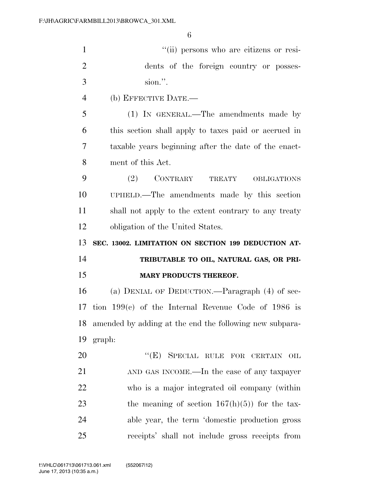| $\mathbf{1}$   | "(ii) persons who are citizens or resi-                    |
|----------------|------------------------------------------------------------|
| $\overline{2}$ | dents of the foreign country or posses-                    |
| 3              | sion.".                                                    |
| $\overline{4}$ | (b) EFFECTIVE DATE.—                                       |
| 5              | $(1)$ IN GENERAL.—The amendments made by                   |
| 6              | this section shall apply to taxes paid or accrued in       |
| $\overline{7}$ | taxable years beginning after the date of the enact-       |
| 8              | ment of this Act.                                          |
| 9              | CONTRARY TREATY<br>(2)<br><b>OBLIGATIONS</b>               |
| 10             | UPHELD.—The amendments made by this section                |
| 11             | shall not apply to the extent contrary to any treaty       |
| 12             | obligation of the United States.                           |
|                |                                                            |
| 13             | SEC. 13002. LIMITATION ON SECTION 199 DEDUCTION AT-        |
| 14             | TRIBUTABLE TO OIL, NATURAL GAS, OR PRI-                    |
| 15             | MARY PRODUCTS THEREOF.                                     |
| 16             | (a) DENIAL OF DEDUCTION.—Paragraph $(4)$ of sec-           |
|                | 17 tion $199(c)$ of the Internal Revenue Code of 1986 is   |
|                | 18 amended by adding at the end the following new subpara- |
| 19             | graph:                                                     |
| 20             | "(E) SPECIAL RULE FOR CERTAIN OIL                          |
| 21             | AND GAS INCOME.—In the case of any taxpayer                |
| 22             | who is a major integrated oil company (within              |
| 23             | the meaning of section $167(h)(5)$ for the tax-            |
| 24             | able year, the term 'domestic production gross             |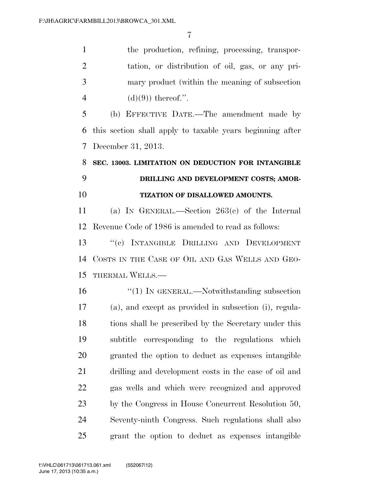1 the production, refining, processing, transpor- tation, or distribution of oil, gas, or any pri- mary product (within the meaning of subsection 4 (d)(9)) thereof.".

 (b) EFFECTIVE DATE.—The amendment made by this section shall apply to taxable years beginning after December 31, 2013.

# **SEC. 13003. LIMITATION ON DEDUCTION FOR INTANGIBLE DRILLING AND DEVELOPMENT COSTS; AMOR-TIZATION OF DISALLOWED AMOUNTS.**

 (a) IN GENERAL.—Section 263(c) of the Internal Revenue Code of 1986 is amended to read as follows:

 ''(c) INTANGIBLE DRILLING AND DEVELOPMENT COSTS IN THE CASE OF OIL AND GAS WELLS AND GEO-THERMAL WELLS.—

16 "(1) IN GENERAL.—Notwithstanding subsection (a), and except as provided in subsection (i), regula- tions shall be prescribed by the Secretary under this subtitle corresponding to the regulations which granted the option to deduct as expenses intangible drilling and development costs in the case of oil and gas wells and which were recognized and approved by the Congress in House Concurrent Resolution 50, Seventy-ninth Congress. Such regulations shall also grant the option to deduct as expenses intangible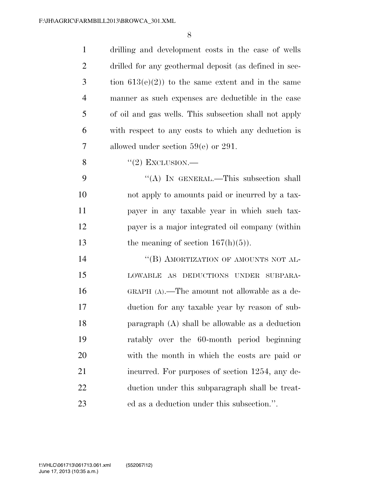| $\mathbf{1}$   | drilling and development costs in the case of wells    |
|----------------|--------------------------------------------------------|
| $\overline{2}$ | drilled for any geothermal deposit (as defined in sec- |
| 3              | tion $613(e)(2)$ to the same extent and in the same    |
| $\overline{4}$ | manner as such expenses are deductible in the case     |
| 5              | of oil and gas wells. This subsection shall not apply  |
| 6              | with respect to any costs to which any deduction is    |
| 7              | allowed under section $59(e)$ or 291.                  |
| 8              | $\lq(2)$ EXCLUSION.—                                   |
| 9              | "(A) IN GENERAL.—This subsection shall                 |
| 10             | not apply to amounts paid or incurred by a tax-        |
| 11             | payer in any taxable year in which such tax-           |
| 12             | payer is a major integrated oil company (within        |
| 13             | the meaning of section $167(h)(5)$ ).                  |
| 14             | "(B) AMORTIZATION OF AMOUNTS NOT AL-                   |
| 15             | LOWABLE AS DEDUCTIONS UNDER SUBPARA-                   |
| 16             | GRAPH $(A)$ .—The amount not allowable as a de-        |
| 17             | duction for any taxable year by reason of sub-         |
| 18             | paragraph $(A)$ shall be allowable as a deduction      |
| 19             | ratably over the 60-month period beginning             |
| 20             | with the month in which the costs are paid or          |
| 21             | incurred. For purposes of section 1254, any de-        |
| 22             | duction under this subparagraph shall be treat-        |
| 23             | ed as a deduction under this subsection.".             |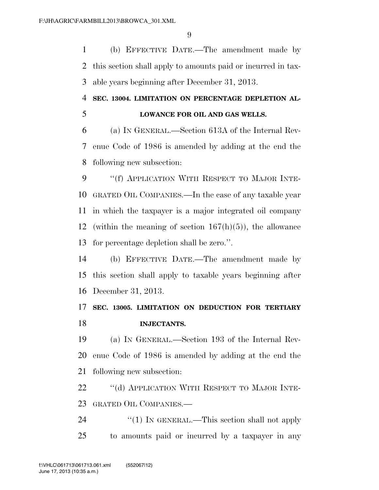(b) EFFECTIVE DATE.—The amendment made by this section shall apply to amounts paid or incurred in tax-able years beginning after December 31, 2013.

#### **SEC. 13004. LIMITATION ON PERCENTAGE DEPLETION AL-**

# **LOWANCE FOR OIL AND GAS WELLS.**

 (a) IN GENERAL.—Section 613A of the Internal Rev- enue Code of 1986 is amended by adding at the end the following new subsection:

 ''(f) APPLICATION WITH RESPECT TO MAJOR INTE- GRATED OIL COMPANIES.—In the case of any taxable year in which the taxpayer is a major integrated oil company 12 (within the meaning of section  $167(h)(5)$ ), the allowance for percentage depletion shall be zero.''.

 (b) EFFECTIVE DATE.—The amendment made by this section shall apply to taxable years beginning after December 31, 2013.

#### **SEC. 13005. LIMITATION ON DEDUCTION FOR TERTIARY INJECTANTS.**

 (a) IN GENERAL.—Section 193 of the Internal Rev- enue Code of 1986 is amended by adding at the end the following new subsection:

22 "(d) APPLICATION WITH RESPECT TO MAJOR INTE-GRATED OIL COMPANIES.—

24 "(1) IN GENERAL.—This section shall not apply to amounts paid or incurred by a taxpayer in any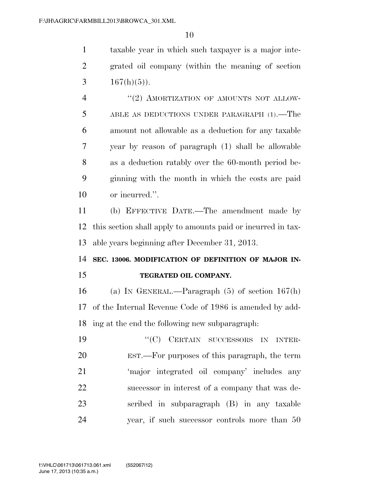taxable year in which such taxpayer is a major inte- grated oil company (within the meaning of section 3  $167(h)(5)$ ).

4 "(2) AMORTIZATION OF AMOUNTS NOT ALLOW- ABLE AS DEDUCTIONS UNDER PARAGRAPH (1).—The amount not allowable as a deduction for any taxable year by reason of paragraph (1) shall be allowable as a deduction ratably over the 60-month period be- ginning with the month in which the costs are paid or incurred.''.

 (b) EFFECTIVE DATE.—The amendment made by this section shall apply to amounts paid or incurred in tax-able years beginning after December 31, 2013.

### **SEC. 13006. MODIFICATION OF DEFINITION OF MAJOR IN-TEGRATED OIL COMPANY.**

 (a) IN GENERAL.—Paragraph (5) of section 167(h) of the Internal Revenue Code of 1986 is amended by add-ing at the end the following new subparagraph:

19 "'(C) CERTAIN SUCCESSORS IN INTER- EST.—For purposes of this paragraph, the term 'major integrated oil company' includes any successor in interest of a company that was de- scribed in subparagraph (B) in any taxable year, if such successor controls more than 50